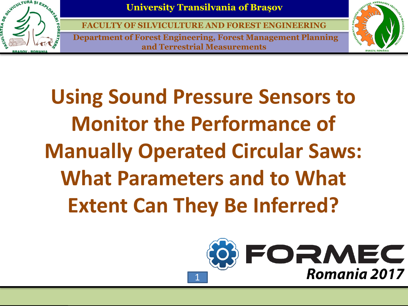

**FACULTY OF SILVICULTURE AND FOREST E** 

**Department of Forest Engineering, Forest Management Planning and Terrestrial Measurements**



**Using Sound Pressure Sensors to Monitor the Performance of Manually Operated Circular Saws: What Parameters and to What Extent Can They Be Inferred?**

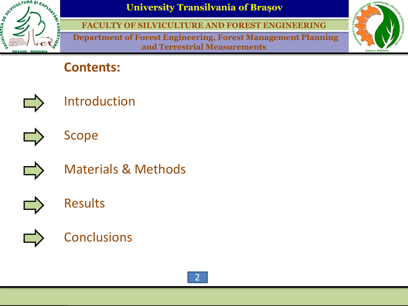

**FACULTY OF SILVICULTURE AND FOREST ENGINEERING**

**Department of Forest Engineering, Forest Management Planning and Terrestrial Measurements**



#### **Contents:**



Introduction







Materials & Methods



### Results



#### **Conclusions**

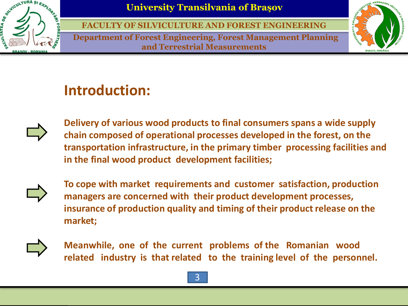

**FACULTY OF SILVICULTURE AND FOREST ENGINEERING**

**Department of Forest Engineering, Forest Management Planning and Terrestrial Measurements**



# **Introduction:**



**Delivery of various wood products to final consumers spans a wide supply chain composed of operational processes developed in the forest, on the transportation infrastructure, in the primary timber processing facilities and in the final wood product development facilities;**



**To cope with market requirements and customer satisfaction, production managers are concerned with their product development processes, insurance of production quality and timing of their product release on the market;**



**Meanwhile, one of the current problems of the Romanian wood related industry is that related to the training level of the personnel.**

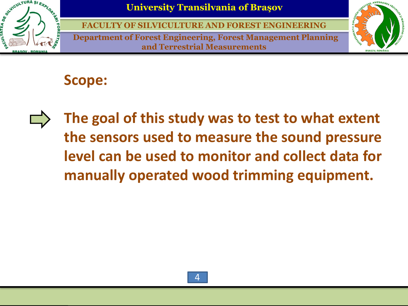

**FACULTY OF SILVICULTURE AND FOREST ENGINEERING**

**Department of Forest Engineering, Forest Management Planning and Terrestrial Measurements**



# **Scope:**

**The goal of this study was to test to what extent the sensors used to measure the sound pressure level can be used to monitor and collect data for manually operated wood trimming equipment.**

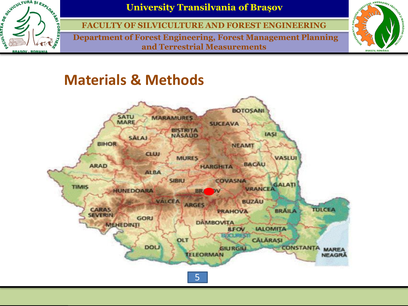

**FACULTY OF SILVICULTURE AND FOREST ENGINEERING**

**Department of Forest Engineering, Forest Management Planning and Terrestrial Measurements**



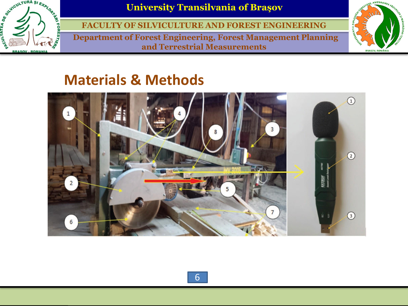

**FACULTY OF SILVICULTURE AND FOREST ENGINEERING**

**Department of Forest Engineering, Forest Management Planning and Terrestrial Measurements**



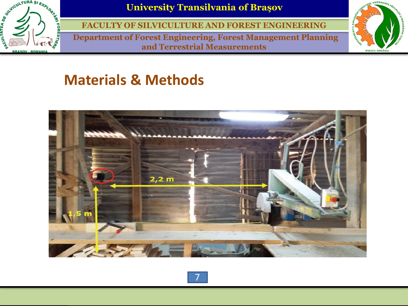

**FACULTY OF SILVICULTURE AND FOREST ENGINEERING**

**Department of Forest Engineering, Forest Management Planning and Terrestrial Measurements**





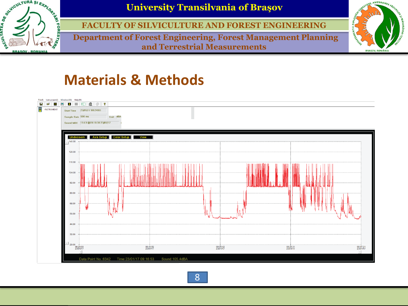

**FACULTY OF SILVICULTURE AND FOREST ENGINEERING**

**Department of Forest Engineering, Forest Management Planning and Terrestrial Measurements**



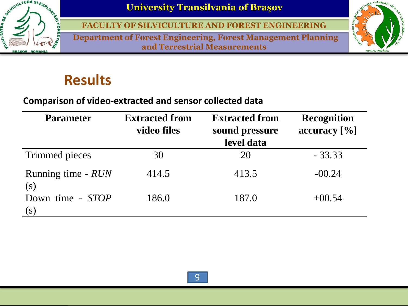

**FACULTY OF SILVICULTURE AND FOREST ENGINEERING**

**Department of Forest Engineering, Forest Management Planning and Terrestrial Measurements**



## **Results**

#### **Comparison of video-extracted and sensor collected data**

| <b>Parameter</b>          | <b>Extracted from</b><br>video files | <b>Extracted from</b><br>sound pressure<br>level data | <b>Recognition</b><br>accuracy [%] |
|---------------------------|--------------------------------------|-------------------------------------------------------|------------------------------------|
| Trimmed pieces            | 30                                   | 20                                                    | $-33.33$                           |
| Running time - RUN<br>(S) | 414.5                                | 413.5                                                 | $-00.24$                           |
| Down time - STOP<br>S)    | 186.0                                | 187.0                                                 | $+00.54$                           |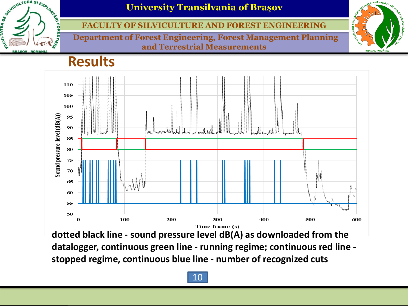

#### **FACULTY OF SILVICULTURE AND FOREST ENGINEERING**

**Department of Forest Engineering, Forest Management Planning and Terrestrial Measurements**



#### **Results**



**dotted black line - sound pressure level dB(A) as downloaded from the datalogger, continuous green line - running regime; continuous red line stopped regime, continuous blue line - number of recognized cuts**

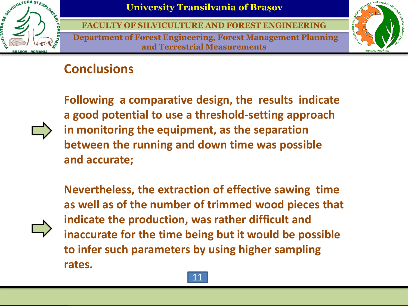

**FACULTY OF SILVICULTURE AND FOREST ENGINEERING**

**Department of Forest Engineering, Forest Management Planning and Terrestrial Measurements**



#### **Conclusions**



**Following a comparative design, the results indicate a good potential to use a threshold-setting approach in monitoring the equipment, as the separation between the running and down time was possible and accurate;**

**Nevertheless, the extraction of effective sawing time as well as of the number of trimmed wood pieces that indicate the production, was rather difficult and inaccurate for the time being but it would be possible to infer such parameters by using higher sampling rates.**